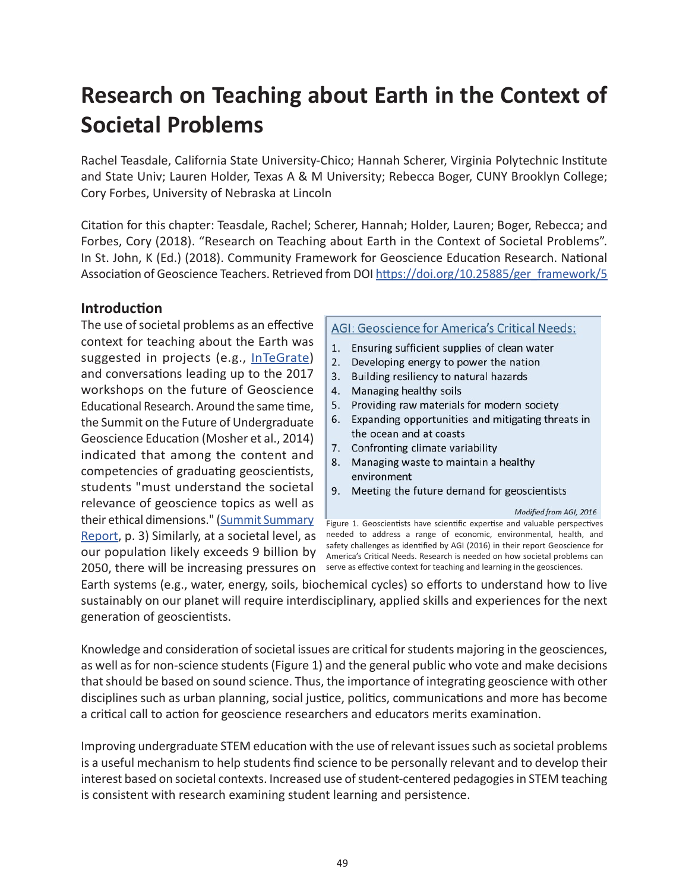# **Research on Teaching about Earth in the Context of Societal Problems**

Rachel Teasdale, California State University-Chico; Hannah Scherer, Virginia Polytechnic Institute and State Univ; Lauren Holder, Texas A & M University; Rebecca Boger, CUNY Brooklyn College; Cory Forbes, University of Nebraska at Lincoln

Citation for this chapter: Teasdale, Rachel; Scherer, Hannah; Holder, Lauren; Boger, Rebecca; and Forbes, Cory (2018). "Research on Teaching about Earth in the Context of Societal Problems". In St. John, K (Ed.) (2018). Community Framework for Geoscience Education Research. National Association of Geoscience Teachers. Retrieved from DOI [https://doi.org/10.25885/ger\\_framework/5](http://commons.lib.jmu.edu/ger_framework/5/)

### **Introduction**

The use of societal problems as an effective context for teaching about the Earth was suggested in projects (e.g., [InTeGrate](https://serc.carleton.edu/integrate/why_integrate.html)) and conversations leading up to the 2017 workshops on the future of Geoscience Educational Research. Around the same time, the Summit on the Future of Undergraduate Geoscience Education (Mosher et al., 2014) indicated that among the content and competencies of graduating geoscientists, students "must understand the societal relevance of geoscience topics as well as their ethical dimensions." ([Summit Summary](https://serc.carleton.edu/serc/news/summit-report.html) [Report](https://serc.carleton.edu/serc/news/summit-report.html), p. 3) Similarly, at a societal level, as our population likely exceeds 9 billion by 2050, there will be increasing pressures on

#### AGI: Geoscience for America's Critical Needs:

- 1. Ensuring sufficient supplies of clean water
- 2. Developing energy to power the nation
- 3. Building resiliency to natural hazards
- 4. Managing healthy soils
- 5. Providing raw materials for modern society
- 6. Expanding opportunities and mitigating threats in the ocean and at coasts
- 7. Confronting climate variability
- 8. Managing waste to maintain a healthy environment
- 9. Meeting the future demand for geoscientists

Modified from AGI, 2016

Figure 1. Geoscientists have scientific expertise and valuable perspectives needed to address a range of economic, environmental, health, and safety challenges as identified by AGI (2016) in their report Geoscience for America's Critical Needs. Research is needed on how societal problems can serve as effective context for teaching and learning in the geosciences.

Earth systems (e.g., water, energy, soils, biochemical cycles) so efforts to understand how to live sustainably on our planet will require interdisciplinary, applied skills and experiences for the next generation of geoscientists.

Knowledge and consideration of societal issues are critical for students majoring in the geosciences, as well as for non-science students (Figure 1) and the general public who vote and make decisions that should be based on sound science. Thus, the importance of integrating geoscience with other disciplines such as urban planning, social justice, politics, communications and more has become a critical call to action for geoscience researchers and educators merits examination.

Improving undergraduate STEM education with the use of relevant issues such as societal problems is a useful mechanism to help students find science to be personally relevant and to develop their interest based on societal contexts. Increased use of student-centered pedagogies in STEM teaching is consistent with research examining student learning and persistence.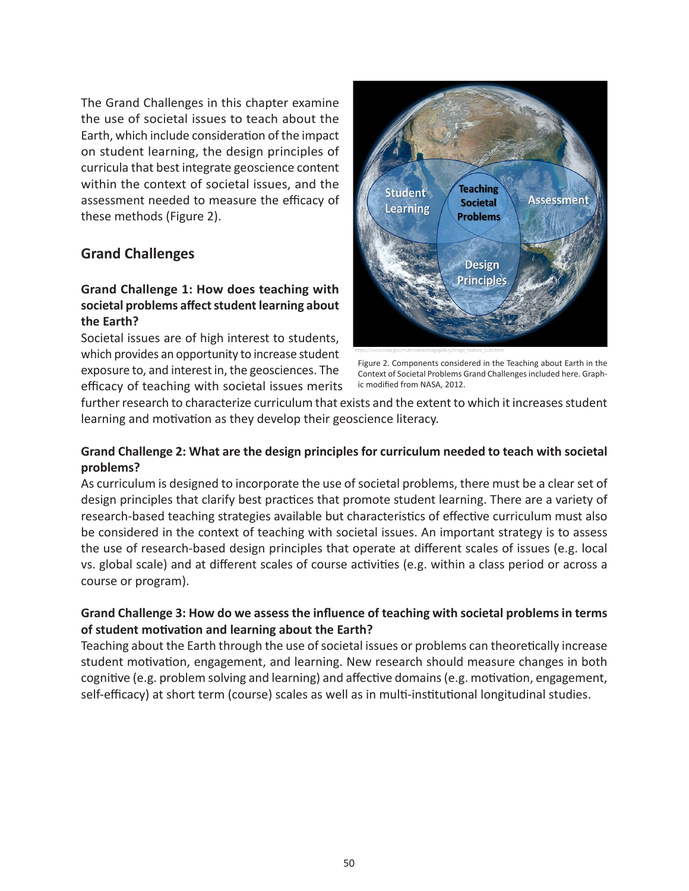The Grand Challenges in this chapter examine the use of societal issues to teach about the Earth, which include consideration of the impact on student learning, the design principles of curricula that best integrate geoscience content within the context of societal issues, and the assessment needed to measure the efficacy of these methods (Figure 2).

### **Grand Challenges**

### **Grand Challenge 1: How does teaching with societal problems affect student learning about the Earth?**

Societal issues are of high interest to students, which provides an opportunity to increase student exposure to, and interest in, the geosciences. The efficacy of teaching with societal issues merits



Figure 2. Components considered in the Teaching about Earth in the Context of Societal Problems Grand Challenges included here. Graphic modified from NASA, 2012.

further research to characterize curriculum that exists and the extent to which it increases student learning and motivation as they develop their geoscience literacy.

#### **Grand Challenge 2: What are the design principles for curriculum needed to teach with societal problems?**

As curriculum is designed to incorporate the use of societal problems, there must be a clear set of design principles that clarify best practices that promote student learning. There are a variety of research-based teaching strategies available but characteristics of effective curriculum must also be considered in the context of teaching with societal issues. An important strategy is to assess the use of research-based design principles that operate at different scales of issues (e.g. local vs. global scale) and at different scales of course activities (e.g. within a class period or across a course or program).

#### **Grand Challenge 3: How do we assess the influence of teaching with societal problems in terms of student motivation and learning about the Earth?**

Teaching about the Earth through the use of societal issues or problems can theoretically increase student motivation, engagement, and learning. New research should measure changes in both cognitive (e.g. problem solving and learning) and affective domains (e.g. motivation, engagement, self-efficacy) at short term (course) scales as well as in multi-institutional longitudinal studies.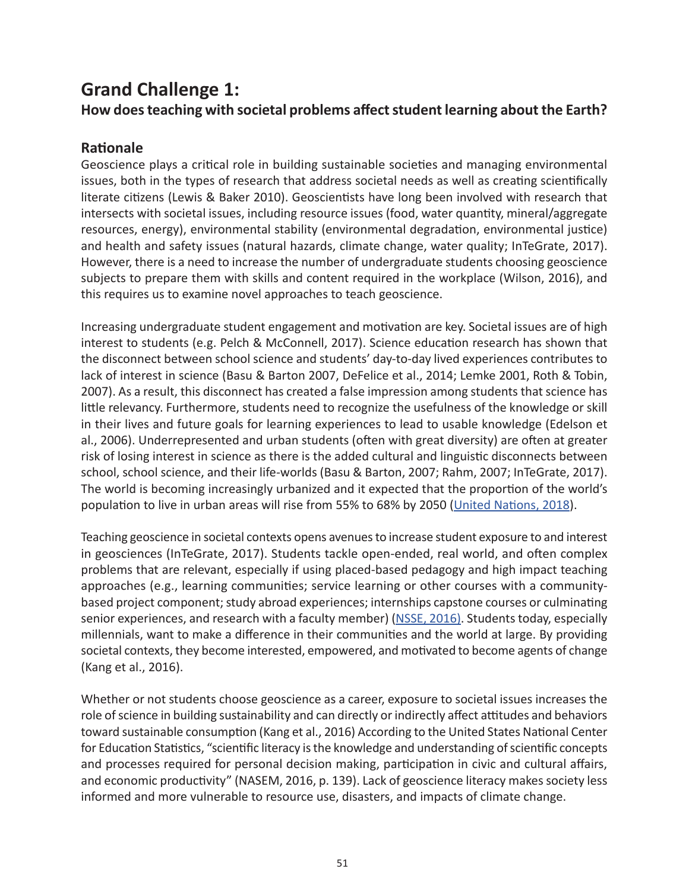### **Grand Challenge 1: How does teaching with societal problems affect student learning about the Earth?**

### **Rationale**

Geoscience plays a critical role in building sustainable societies and managing environmental issues, both in the types of research that address societal needs as well as creating scientifically literate citizens (Lewis & Baker 2010). Geoscientists have long been involved with research that intersects with societal issues, including resource issues (food, water quantity, mineral/aggregate resources, energy), environmental stability (environmental degradation, environmental justice) and health and safety issues (natural hazards, climate change, water quality; InTeGrate, 2017). However, there is a need to increase the number of undergraduate students choosing geoscience subjects to prepare them with skills and content required in the workplace (Wilson, 2016), and this requires us to examine novel approaches to teach geoscience.

Increasing undergraduate student engagement and motivation are key. Societal issues are of high interest to students (e.g. Pelch & McConnell, 2017). Science education research has shown that the disconnect between school science and students' day-to-day lived experiences contributes to lack of interest in science (Basu & Barton 2007, DeFelice et al., 2014; Lemke 2001, Roth & Tobin, 2007). As a result, this disconnect has created a false impression among students that science has little relevancy. Furthermore, students need to recognize the usefulness of the knowledge or skill in their lives and future goals for learning experiences to lead to usable knowledge (Edelson et al., 2006). Underrepresented and urban students (often with great diversity) are often at greater risk of losing interest in science as there is the added cultural and linguistic disconnects between school, school science, and their life-worlds (Basu & Barton, 2007; Rahm, 2007; InTeGrate, 2017). The world is becoming increasingly urbanized and it expected that the proportion of the world's population to live in urban areas will rise from 55% to 68% by 2050 [\(United Nations, 2018](https://esa.un.org/unpd/wup/Publications/Files/WUP2018-KeyFacts.pdf)).

Teaching geoscience in societal contexts opens avenues to increase student exposure to and interest in geosciences (InTeGrate, 2017). Students tackle open-ended, real world, and often complex problems that are relevant, especially if using placed-based pedagogy and high impact teaching approaches (e.g., learning communities; service learning or other courses with a communitybased project component; study abroad experiences; internships capstone courses or culminating senior experiences, and research with a faculty member) ([NSSE, 2016\).](http://nsse.indiana.edu/Institutional_Report/High-Impact%20Practices.pdf) Students today, especially millennials, want to make a difference in their communities and the world at large. By providing societal contexts, they become interested, empowered, and motivated to become agents of change (Kang et al., 2016).

Whether or not students choose geoscience as a career, exposure to societal issues increases the role of science in building sustainability and can directly or indirectly affect attitudes and behaviors toward sustainable consumption (Kang et al., 2016) According to the United States National Center for Education Statistics, "scientific literacy is the knowledge and understanding of scientific concepts and processes required for personal decision making, participation in civic and cultural affairs, and economic productivity" (NASEM, 2016, p. 139). Lack of geoscience literacy makes society less informed and more vulnerable to resource use, disasters, and impacts of climate change.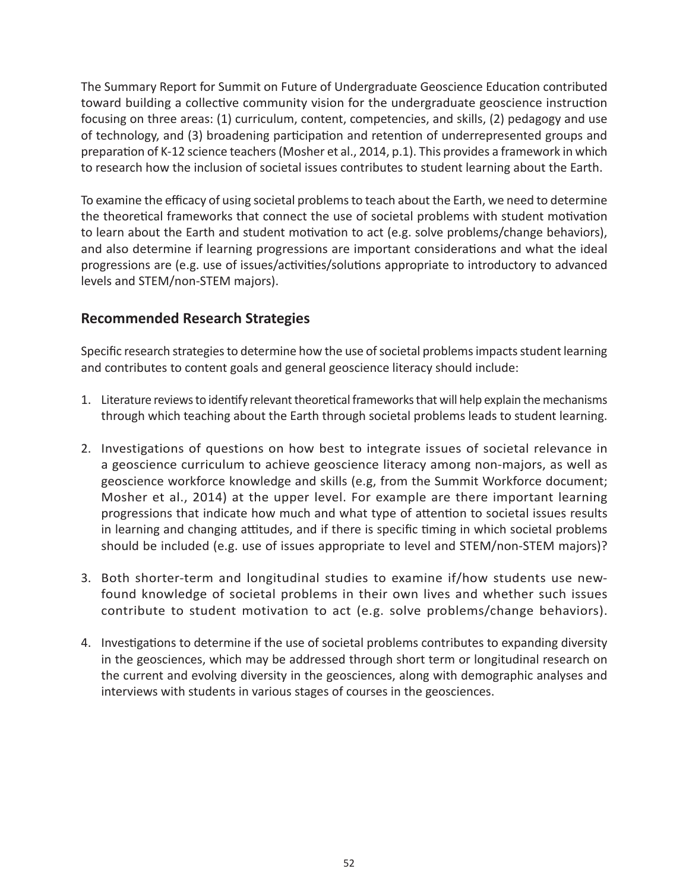The Summary Report for Summit on Future of Undergraduate Geoscience Education contributed toward building a collective community vision for the undergraduate geoscience instruction focusing on three areas: (1) curriculum, content, competencies, and skills, (2) pedagogy and use of technology, and (3) broadening participation and retention of underrepresented groups and preparation of K-12 science teachers (Mosher et al., 2014, p.1). This provides a framework in which to research how the inclusion of societal issues contributes to student learning about the Earth.

To examine the efficacy of using societal problems to teach about the Earth, we need to determine the theoretical frameworks that connect the use of societal problems with student motivation to learn about the Earth and student motivation to act (e.g. solve problems/change behaviors), and also determine if learning progressions are important considerations and what the ideal progressions are (e.g. use of issues/activities/solutions appropriate to introductory to advanced levels and STEM/non-STEM majors).

### **Recommended Research Strategies**

Specific research strategies to determine how the use of societal problems impacts student learning and contributes to content goals and general geoscience literacy should include:

- 1. Literature reviews to identify relevant theoretical frameworks that will help explain the mechanisms through which teaching about the Earth through societal problems leads to student learning.
- 2. Investigations of questions on how best to integrate issues of societal relevance in a geoscience curriculum to achieve geoscience literacy among non-majors, as well as geoscience workforce knowledge and skills (e.g, from the Summit Workforce document; Mosher et al., 2014) at the upper level. For example are there important learning progressions that indicate how much and what type of attention to societal issues results in learning and changing attitudes, and if there is specific timing in which societal problems should be included (e.g. use of issues appropriate to level and STEM/non-STEM majors)?
- 3. Both shorter-term and longitudinal studies to examine if/how students use newfound knowledge of societal problems in their own lives and whether such issues contribute to student motivation to act (e.g. solve problems/change behaviors).
- 4. Investigations to determine if the use of societal problems contributes to expanding diversity in the geosciences, which may be addressed through short term or longitudinal research on the current and evolving diversity in the geosciences, along with demographic analyses and interviews with students in various stages of courses in the geosciences.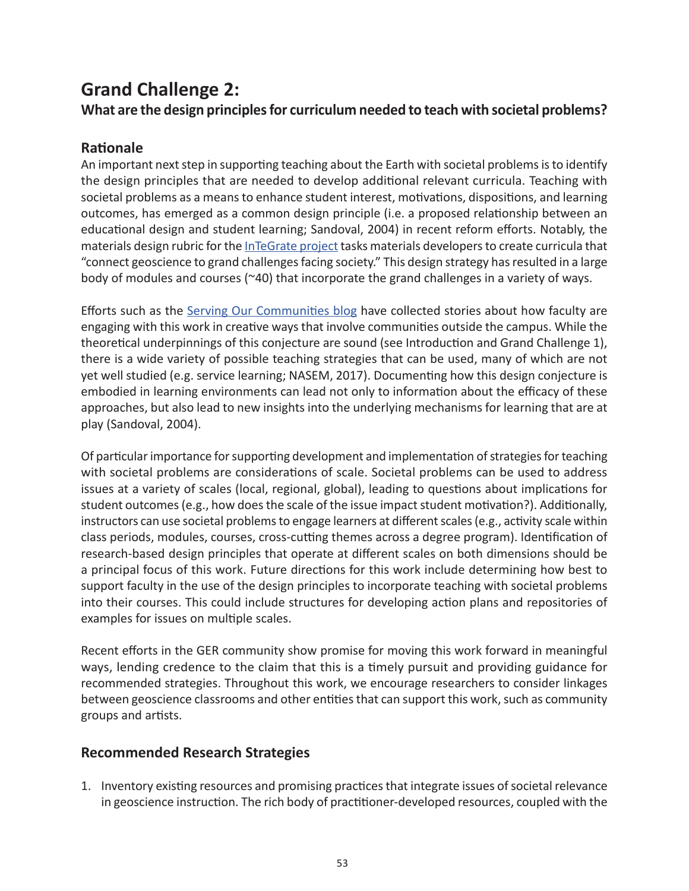## **Grand Challenge 2:**

**What are the design principles for curriculum needed to teach with societal problems?**

### **Rationale**

An important next step in supporting teaching about the Earth with societal problems is to identify the design principles that are needed to develop additional relevant curricula. Teaching with societal problems as a means to enhance student interest, motivations, dispositions, and learning outcomes, has emerged as a common design principle (i.e. a proposed relationship between an educational design and student learning; Sandoval, 2004) in recent reform efforts. Notably, the materials design rubric for the [InTeGrate project](https://serc.carleton.edu/integrate/info_team_members/currdev/rubric.html) tasks materials developers to create curricula that "connect geoscience to grand challenges facing society." This design strategy has resulted in a large body of modules and courses (~40) that incorporate the grand challenges in a variety of ways.

Efforts such as the [Serving Our Communities blog](https://serc.carleton.edu/integrate/info_team_members/currdev/rubric.html) have collected stories about how faculty are engaging with this work in creative ways that involve communities outside the campus. While the theoretical underpinnings of this conjecture are sound (see Introduction and Grand Challenge 1), there is a wide variety of possible teaching strategies that can be used, many of which are not yet well studied (e.g. service learning; NASEM, 2017). Documenting how this design conjecture is embodied in learning environments can lead not only to information about the efficacy of these approaches, but also lead to new insights into the underlying mechanisms for learning that are at play (Sandoval, 2004).

Of particular importance for supporting development and implementation of strategies for teaching with societal problems are considerations of scale. Societal problems can be used to address issues at a variety of scales (local, regional, global), leading to questions about implications for student outcomes (e.g., how does the scale of the issue impact student motivation?). Additionally, instructors can use societal problems to engage learners at different scales (e.g., activity scale within class periods, modules, courses, cross-cutting themes across a degree program). Identification of research-based design principles that operate at different scales on both dimensions should be a principal focus of this work. Future directions for this work include determining how best to support faculty in the use of the design principles to incorporate teaching with societal problems into their courses. This could include structures for developing action plans and repositories of examples for issues on multiple scales.

Recent efforts in the GER community show promise for moving this work forward in meaningful ways, lending credence to the claim that this is a timely pursuit and providing guidance for recommended strategies. Throughout this work, we encourage researchers to consider linkages between geoscience classrooms and other entities that can support this work, such as community groups and artists.

### **Recommended Research Strategies**

1. Inventory existing resources and promising practices that integrate issues of societal relevance in geoscience instruction. The rich body of practitioner-developed resources, coupled with the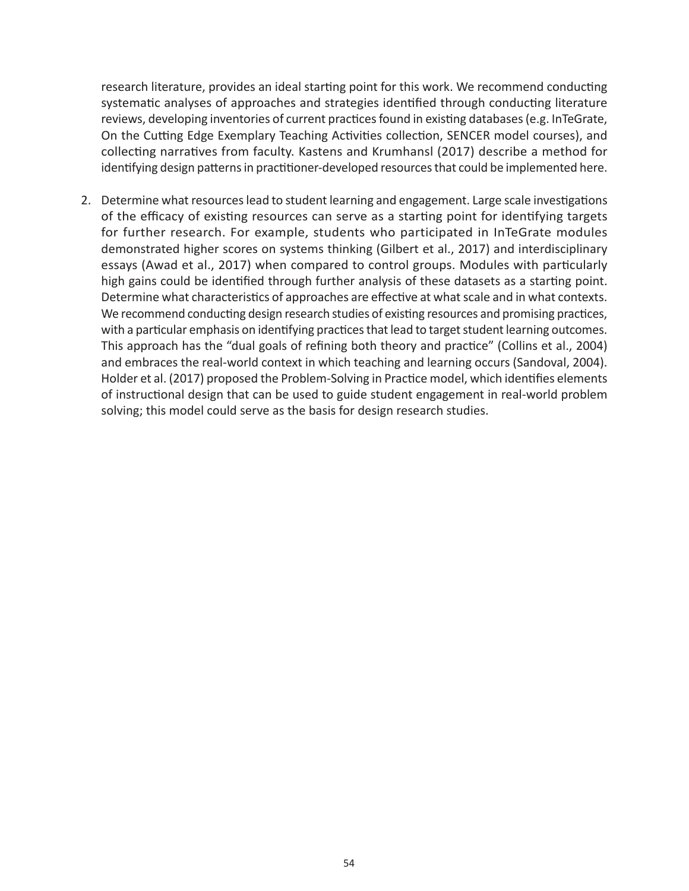research literature, provides an ideal starting point for this work. We recommend conducting systematic analyses of approaches and strategies identified through conducting literature reviews, developing inventories of current practices found in existing databases (e.g. InTeGrate, On the Cutting Edge Exemplary Teaching Activities collection, SENCER model courses), and collecting narratives from faculty. Kastens and Krumhansl (2017) describe a method for identifying design patterns in practitioner-developed resources that could be implemented here.

2. Determine what resources lead to student learning and engagement. Large scale investigations of the efficacy of existing resources can serve as a starting point for identifying targets for further research. For example, students who participated in InTeGrate modules demonstrated higher scores on systems thinking (Gilbert et al., 2017) and interdisciplinary essays (Awad et al., 2017) when compared to control groups. Modules with particularly high gains could be identified through further analysis of these datasets as a starting point. Determine what characteristics of approaches are effective at what scale and in what contexts. We recommend conducting design research studies of existing resources and promising practices, with a particular emphasis on identifying practices that lead to target student learning outcomes. This approach has the "dual goals of refining both theory and practice" (Collins et al., 2004) and embraces the real-world context in which teaching and learning occurs (Sandoval, 2004). Holder et al. (2017) proposed the Problem-Solving in Practice model, which identifies elements of instructional design that can be used to guide student engagement in real-world problem solving; this model could serve as the basis for design research studies.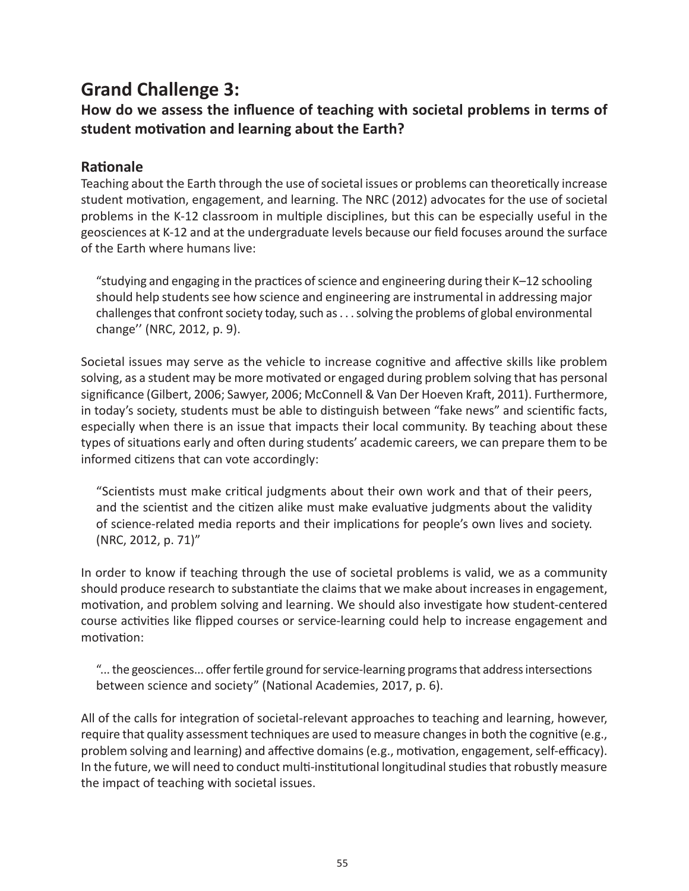### **Grand Challenge 3:**

### **How do we assess the influence of teaching with societal problems in terms of student motivation and learning about the Earth?**

### **Rationale**

Teaching about the Earth through the use of societal issues or problems can theoretically increase student motivation, engagement, and learning. The NRC (2012) advocates for the use of societal problems in the K-12 classroom in multiple disciplines, but this can be especially useful in the geosciences at K-12 and at the undergraduate levels because our field focuses around the surface of the Earth where humans live:

"studying and engaging in the practices of science and engineering during their K–12 schooling should help students see how science and engineering are instrumental in addressing major challenges that confront society today, such as . . . solving the problems of global environmental change'' (NRC, 2012, p. 9).

Societal issues may serve as the vehicle to increase cognitive and affective skills like problem solving, as a student may be more motivated or engaged during problem solving that has personal significance (Gilbert, 2006; Sawyer, 2006; McConnell & Van Der Hoeven Kraft, 2011). Furthermore, in today's society, students must be able to distinguish between "fake news" and scientific facts, especially when there is an issue that impacts their local community. By teaching about these types of situations early and often during students' academic careers, we can prepare them to be informed citizens that can vote accordingly:

"Scientists must make critical judgments about their own work and that of their peers, and the scientist and the citizen alike must make evaluative judgments about the validity of science-related media reports and their implications for people's own lives and society. (NRC, 2012, p. 71)"

In order to know if teaching through the use of societal problems is valid, we as a community should produce research to substantiate the claims that we make about increases in engagement, motivation, and problem solving and learning. We should also investigate how student-centered course activities like flipped courses or service-learning could help to increase engagement and motivation:

"... the geosciences... offer fertile ground for service-learning programs that address intersections between science and society" (National Academies, 2017, p. 6).

All of the calls for integration of societal-relevant approaches to teaching and learning, however, require that quality assessment techniques are used to measure changes in both the cognitive (e.g., problem solving and learning) and affective domains (e.g., motivation, engagement, self-efficacy). In the future, we will need to conduct multi-institutional longitudinal studies that robustly measure the impact of teaching with societal issues.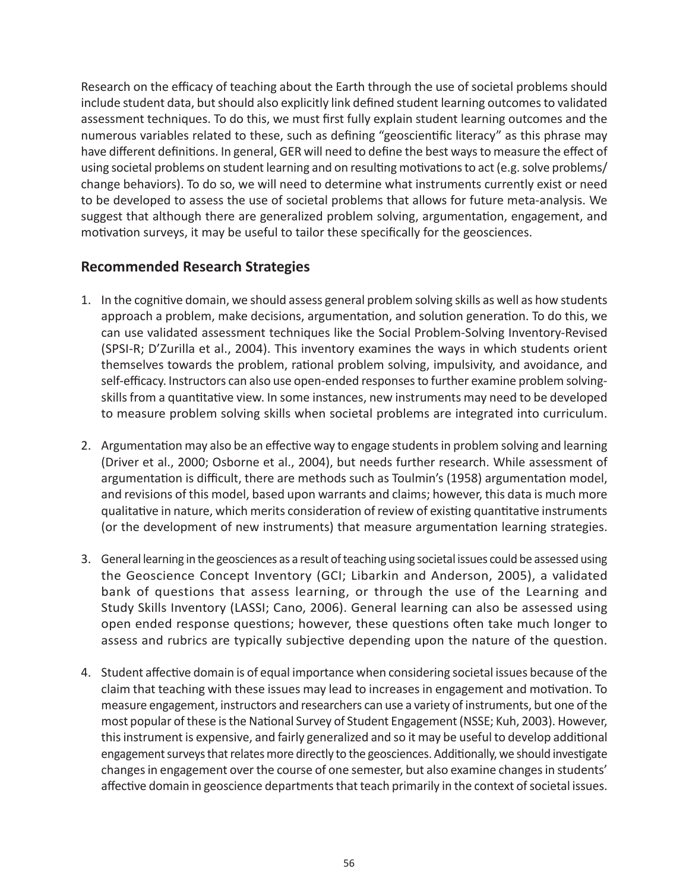Research on the efficacy of teaching about the Earth through the use of societal problems should include student data, but should also explicitly link defined student learning outcomes to validated assessment techniques. To do this, we must first fully explain student learning outcomes and the numerous variables related to these, such as defining "geoscientific literacy" as this phrase may have different definitions. In general, GER will need to define the best ways to measure the effect of using societal problems on student learning and on resulting motivations to act (e.g. solve problems/ change behaviors). To do so, we will need to determine what instruments currently exist or need to be developed to assess the use of societal problems that allows for future meta-analysis. We suggest that although there are generalized problem solving, argumentation, engagement, and motivation surveys, it may be useful to tailor these specifically for the geosciences.

### **Recommended Research Strategies**

- 1. In the cognitive domain, we should assess general problem solving skills as well as how students approach a problem, make decisions, argumentation, and solution generation. To do this, we can use validated assessment techniques like the Social Problem-Solving Inventory-Revised (SPSI-R; D'Zurilla et al., 2004). This inventory examines the ways in which students orient themselves towards the problem, rational problem solving, impulsivity, and avoidance, and self-efficacy. Instructors can also use open-ended responses to further examine problem solvingskills from a quantitative view. In some instances, new instruments may need to be developed to measure problem solving skills when societal problems are integrated into curriculum.
- 2. Argumentation may also be an effective way to engage students in problem solving and learning (Driver et al., 2000; Osborne et al., 2004), but needs further research. While assessment of argumentation is difficult, there are methods such as Toulmin's (1958) argumentation model, and revisions of this model, based upon warrants and claims; however, this data is much more qualitative in nature, which merits consideration of review of existing quantitative instruments (or the development of new instruments) that measure argumentation learning strategies.
- 3. General learning in the geosciences as a result of teaching using societal issues could be assessed using the Geoscience Concept Inventory (GCI; Libarkin and Anderson, 2005), a validated bank of questions that assess learning, or through the use of the Learning and Study Skills Inventory (LASSI; Cano, 2006). General learning can also be assessed using open ended response questions; however, these questions often take much longer to assess and rubrics are typically subjective depending upon the nature of the question.
- 4. Student affective domain is of equal importance when considering societal issues because of the claim that teaching with these issues may lead to increases in engagement and motivation. To measure engagement, instructors and researchers can use a variety of instruments, but one of the most popular of these is the National Survey of Student Engagement (NSSE; Kuh, 2003). However, this instrument is expensive, and fairly generalized and so it may be useful to develop additional engagement surveys that relates more directly to the geosciences. Additionally, we should investigate changes in engagement over the course of one semester, but also examine changes in students' affective domain in geoscience departments that teach primarily in the context of societal issues.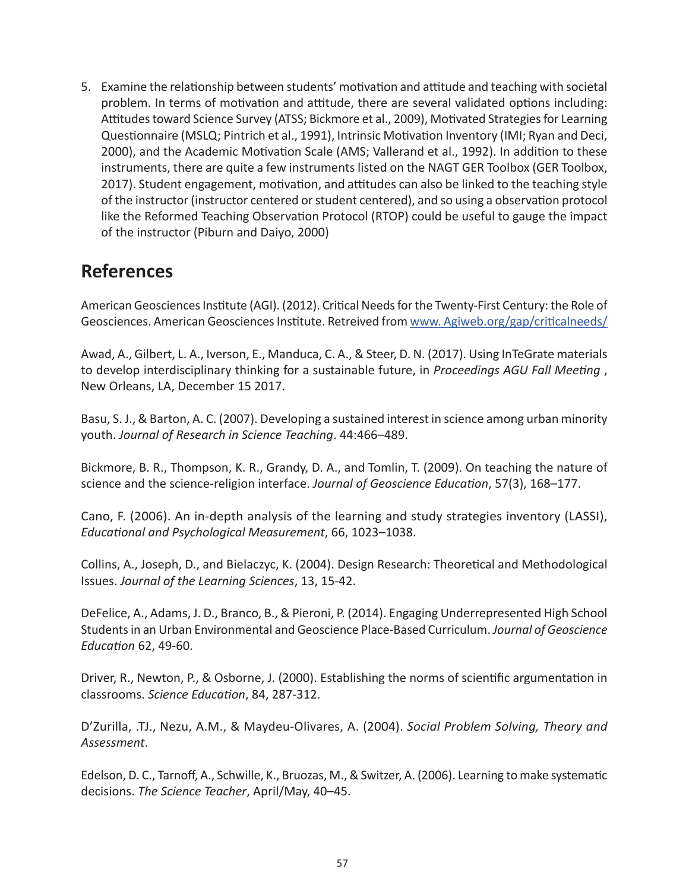5. Examine the relationship between students' motivation and attitude and teaching with societal problem. In terms of motivation and attitude, there are several validated options including: Attitudes toward Science Survey (ATSS; Bickmore et al., 2009), Motivated Strategies for Learning Questionnaire (MSLQ; Pintrich et al., 1991), Intrinsic Motivation Inventory (IMI; Ryan and Deci, 2000), and the Academic Motivation Scale (AMS; Vallerand et al., 1992). In addition to these instruments, there are quite a few instruments listed on the NAGT GER Toolbox (GER Toolbox, 2017). Student engagement, motivation, and attitudes can also be linked to the teaching style of the instructor (instructor centered or student centered), and so using a observation protocol like the Reformed Teaching Observation Protocol (RTOP) could be useful to gauge the impact of the instructor (Piburn and Daiyo, 2000)

### **References**

American Geosciences Institute (AGI). (2012). Critical Needs for the Twenty-First Century: the Role of Geosciences. American Geosciences Institute. Retreived from [www. Agiweb.org/gap/criticalneeds/](www. Agiweb.org/gap/criticalneeds/
)

Awad, A., Gilbert, L. A., Iverson, E., Manduca, C. A., & Steer, D. N. (2017). Using InTeGrate materials to develop interdisciplinary thinking for a sustainable future, in *Proceedings AGU Fall Meeting* , New Orleans, LA, December 15 2017.

Basu, S. J., & Barton, A. C. (2007). Developing a sustained interest in science among urban minority youth. *Journal of Research in Science Teaching*. 44:466–489.

Bickmore, B. R., Thompson, K. R., Grandy, D. A., and Tomlin, T. (2009). On teaching the nature of science and the science-religion interface. *Journal of Geoscience Education*, 57(3), 168–177.

Cano, F. (2006). An in-depth analysis of the learning and study strategies inventory (LASSI), *Educational and Psychological Measurement*, 66, 1023–1038.

Collins, A., Joseph, D., and Bielaczyc, K. (2004). Design Research: Theoretical and Methodological Issues. *Journal of the Learning Sciences*, 13, 15-42.

DeFelice, A., Adams, J. D., Branco, B., & Pieroni, P. (2014). Engaging Underrepresented High School Students in an Urban Environmental and Geoscience Place-Based Curriculum. *Journal of Geoscience Education* 62, 49-60.

Driver, R., Newton, P., & Osborne, J. (2000). Establishing the norms of scientific argumentation in classrooms. *Science Education*, 84, 287-312.

D'Zurilla, .TJ., Nezu, A.M., & Maydeu-Olivares, A. (2004). *Social Problem Solving, Theory and Assessment*.

Edelson, D. C., Tarnoff, A., Schwille, K., Bruozas, M., & Switzer, A. (2006). Learning to make systematic decisions. *The Science Teacher*, April/May, 40–45.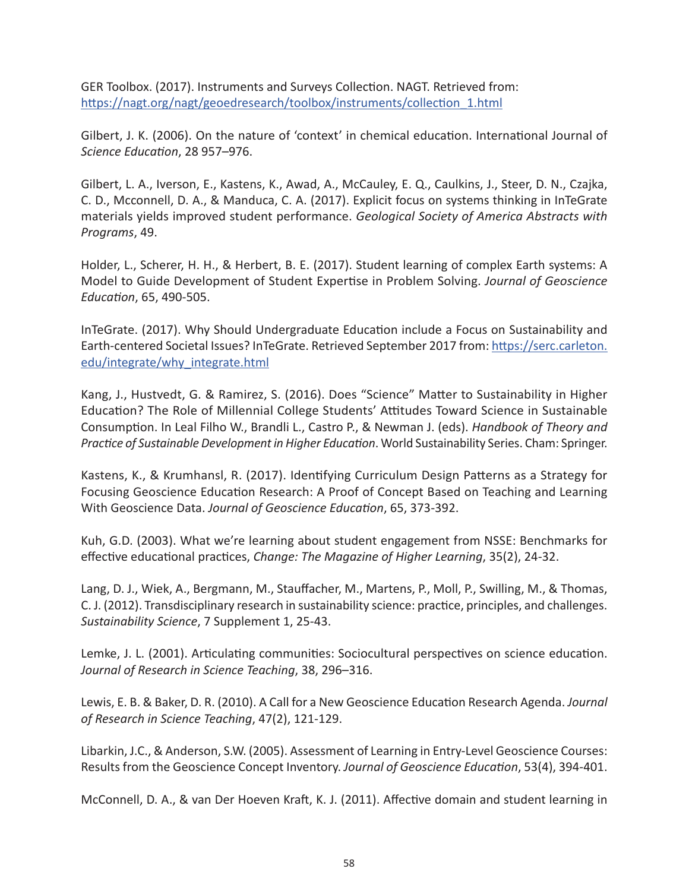GER Toolbox. (2017). Instruments and Surveys Collection. NAGT. Retrieved from: [https://nagt.org/nagt/geoedresearch/toolbox/instruments/collection\\_1.html](https://nagt.org/nagt/geoedresearch/toolbox/instruments/collection_1.html)

Gilbert, J. K. (2006). On the nature of 'context' in chemical education. International Journal of *Science Education*, 28 957–976.

Gilbert, L. A., Iverson, E., Kastens, K., Awad, A., McCauley, E. Q., Caulkins, J., Steer, D. N., Czajka, C. D., Mcconnell, D. A., & Manduca, C. A. (2017). Explicit focus on systems thinking in InTeGrate materials yields improved student performance. *Geological Society of America Abstracts with Programs*, 49.

Holder, L., Scherer, H. H., & Herbert, B. E. (2017). Student learning of complex Earth systems: A Model to Guide Development of Student Expertise in Problem Solving. *Journal of Geoscience Education*, 65, 490-505.

InTeGrate. (2017). Why Should Undergraduate Education include a Focus on Sustainability and Earth-centered Societal Issues? InTeGrate. Retrieved September 2017 from: [https://serc.carleton.](https://serc.carleton.edu/integrate/why_integrate.html) [edu/integrate/why\\_integrate.html](https://serc.carleton.edu/integrate/why_integrate.html)

Kang, J., Hustvedt, G. & Ramirez, S. (2016). Does "Science" Matter to Sustainability in Higher Education? The Role of Millennial College Students' Attitudes Toward Science in Sustainable Consumption. In Leal Filho W., Brandli L., Castro P., & Newman J. (eds). *Handbook of Theory and Practice of Sustainable Development in Higher Education*. World Sustainability Series. Cham: Springer.

Kastens, K., & Krumhansl, R. (2017). Identifying Curriculum Design Patterns as a Strategy for Focusing Geoscience Education Research: A Proof of Concept Based on Teaching and Learning With Geoscience Data. *Journal of Geoscience Education*, 65, 373-392.

Kuh, G.D. (2003). What we're learning about student engagement from NSSE: Benchmarks for effective educational practices, *Change: The Magazine of Higher Learning*, 35(2), 24-32.

Lang, D. J., Wiek, A., Bergmann, M., Stauffacher, M., Martens, P., Moll, P., Swilling, M., & Thomas, C. J. (2012). Transdisciplinary research in sustainability science: practice, principles, and challenges. *Sustainability Science*, 7 Supplement 1, 25-43.

Lemke, J. L. (2001). Articulating communities: Sociocultural perspectives on science education. *Journal of Research in Science Teaching*, 38, 296–316.

Lewis, E. B. & Baker, D. R. (2010). A Call for a New Geoscience Education Research Agenda. *Journal of Research in Science Teaching*, 47(2), 121-129.

Libarkin, J.C., & Anderson, S.W. (2005). Assessment of Learning in Entry-Level Geoscience Courses: Results from the Geoscience Concept Inventory. *Journal of Geoscience Education*, 53(4), 394-401.

McConnell, D. A., & van Der Hoeven Kraft, K. J. (2011). Affective domain and student learning in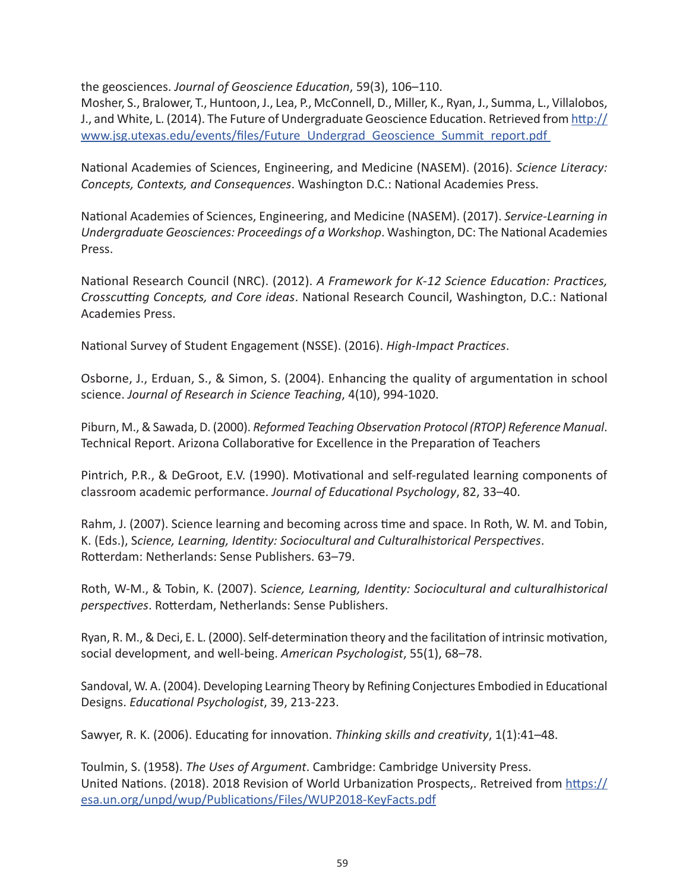the geosciences. *Journal of Geoscience Education*, 59(3), 106–110.

Mosher, S., Bralower, T., Huntoon, J., Lea, P., McConnell, D., Miller, K., Ryan, J., Summa, L., Villalobos, J., and White, L. (2014). The Future of Undergraduate Geoscience Education. Retrieved from [http://](http://www.jsg.utexas.edu/events/files/Future_Undergrad_Geoscience_Summit_report.pdf) [www.jsg.utexas.edu/events/files/Future\\_Undergrad\\_Geoscience\\_Summit\\_report.pdf](http://www.jsg.utexas.edu/events/files/Future_Undergrad_Geoscience_Summit_report.pdf) 

National Academies of Sciences, Engineering, and Medicine (NASEM). (2016). *Science Literacy: Concepts, Contexts, and Consequences*. Washington D.C.: National Academies Press.

National Academies of Sciences, Engineering, and Medicine (NASEM). (2017). *Service-Learning in Undergraduate Geosciences: Proceedings of a Workshop*. Washington, DC: The National Academies Press.

National Research Council (NRC). (2012). *A Framework for K-12 Science Education: Practices, Crosscutting Concepts, and Core ideas*. National Research Council, Washington, D.C.: National Academies Press.

National Survey of Student Engagement (NSSE). (2016). *High-Impact Practices*.

Osborne, J., Erduan, S., & Simon, S. (2004). Enhancing the quality of argumentation in school science. *Journal of Research in Science Teaching*, 4(10), 994-1020.

Piburn, M., & Sawada, D. (2000). *Reformed Teaching Observation Protocol (RTOP) Reference Manual*. Technical Report. Arizona Collaborative for Excellence in the Preparation of Teachers

Pintrich, P.R., & DeGroot, E.V. (1990). Motivational and self-regulated learning components of classroom academic performance. *Journal of Educational Psychology*, 82, 33–40.

Rahm, J. (2007). Science learning and becoming across time and space. In Roth, W. M. and Tobin, K. (Eds.), S*cience, Learning, Identity: Sociocultural and Culturalhistorical Perspectives*. Rotterdam: Netherlands: Sense Publishers. 63–79.

Roth, W-M., & Tobin, K. (2007). S*cience, Learning, Identity: Sociocultural and culturalhistorical perspectives*. Rotterdam, Netherlands: Sense Publishers.

Ryan, R. M., & Deci, E. L. (2000). Self-determination theory and the facilitation of intrinsic motivation, social development, and well-being. *American Psychologist*, 55(1), 68–78.

Sandoval, W. A. (2004). Developing Learning Theory by Refining Conjectures Embodied in Educational Designs. *Educational Psychologist*, 39, 213-223.

Sawyer, R. K. (2006). Educating for innovation. *Thinking skills and creativity*, 1(1):41–48.

Toulmin, S. (1958). *The Uses of Argument*. Cambridge: Cambridge University Press. United Nations. (2018). 2018 Revision of World Urbanization Prospects,. Retreived from [https://](https://esa.un.org/unpd/wup/Publications/Files/WUP2018-KeyFacts.pdf) [esa.un.org/unpd/wup/Publications/Files/WUP2018-KeyFacts.pdf](https://esa.un.org/unpd/wup/Publications/Files/WUP2018-KeyFacts.pdf)